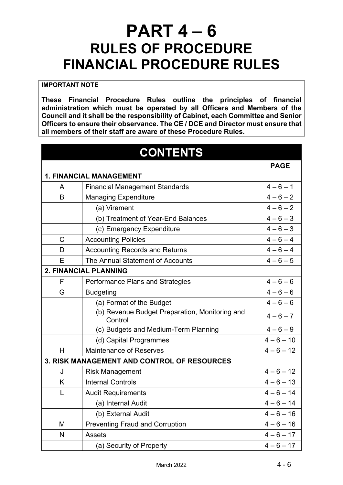## **PART 4 – 6 RULES OF PROCEDURE FINANCIAL PROCEDURE RULES**

## **IMPORTANT NOTE**

**These Financial Procedure Rules outline the principles of financial administration which must be operated by all Officers and Members of the Council and it shall be the responsibility of Cabinet, each Committee and Senior Officers to ensure their observance. The CE / DCE and Director must ensure that all members of their staff are aware of these Procedure Rules.**

| <b>CONTENTS</b>                                    |                                                           |              |  |
|----------------------------------------------------|-----------------------------------------------------------|--------------|--|
|                                                    |                                                           | <b>PAGE</b>  |  |
| <b>1. FINANCIAL MANAGEMENT</b>                     |                                                           |              |  |
| A                                                  | <b>Financial Management Standards</b>                     | $4 - 6 - 1$  |  |
| B                                                  | <b>Managing Expenditure</b>                               | $4 - 6 - 2$  |  |
|                                                    | (a) Virement                                              | $4 - 6 - 2$  |  |
|                                                    | (b) Treatment of Year-End Balances                        | $4 - 6 - 3$  |  |
|                                                    | (c) Emergency Expenditure                                 | $4 - 6 - 3$  |  |
| $\mathsf C$                                        | <b>Accounting Policies</b>                                | $4 - 6 - 4$  |  |
| D                                                  | <b>Accounting Records and Returns</b>                     | $4 - 6 - 4$  |  |
| E                                                  | The Annual Statement of Accounts                          | $4 - 6 - 5$  |  |
| <b>2. FINANCIAL PLANNING</b>                       |                                                           |              |  |
| F                                                  | Performance Plans and Strategies                          | $4 - 6 - 6$  |  |
| G                                                  | <b>Budgeting</b>                                          | $4 - 6 - 6$  |  |
|                                                    | (a) Format of the Budget                                  | $4 - 6 - 6$  |  |
|                                                    | (b) Revenue Budget Preparation, Monitoring and<br>Control | $4 - 6 - 7$  |  |
|                                                    | (c) Budgets and Medium-Term Planning                      | $4 - 6 - 9$  |  |
|                                                    | (d) Capital Programmes                                    | $4 - 6 - 10$ |  |
| H                                                  | <b>Maintenance of Reserves</b>                            | $4 - 6 - 12$ |  |
| <b>3. RISK MANAGEMENT AND CONTROL OF RESOURCES</b> |                                                           |              |  |
| J                                                  | <b>Risk Management</b>                                    | $4 - 6 - 12$ |  |
| K                                                  | <b>Internal Controls</b>                                  | $4 - 6 - 13$ |  |
| L                                                  | <b>Audit Requirements</b>                                 | $4 - 6 - 14$ |  |
|                                                    | (a) Internal Audit                                        | $4 - 6 - 14$ |  |
|                                                    | (b) External Audit                                        | $4 - 6 - 16$ |  |
| M                                                  | <b>Preventing Fraud and Corruption</b>                    | $4 - 6 - 16$ |  |
| N                                                  | <b>Assets</b>                                             | $4 - 6 - 17$ |  |
|                                                    | (a) Security of Property                                  | $4 - 6 - 17$ |  |